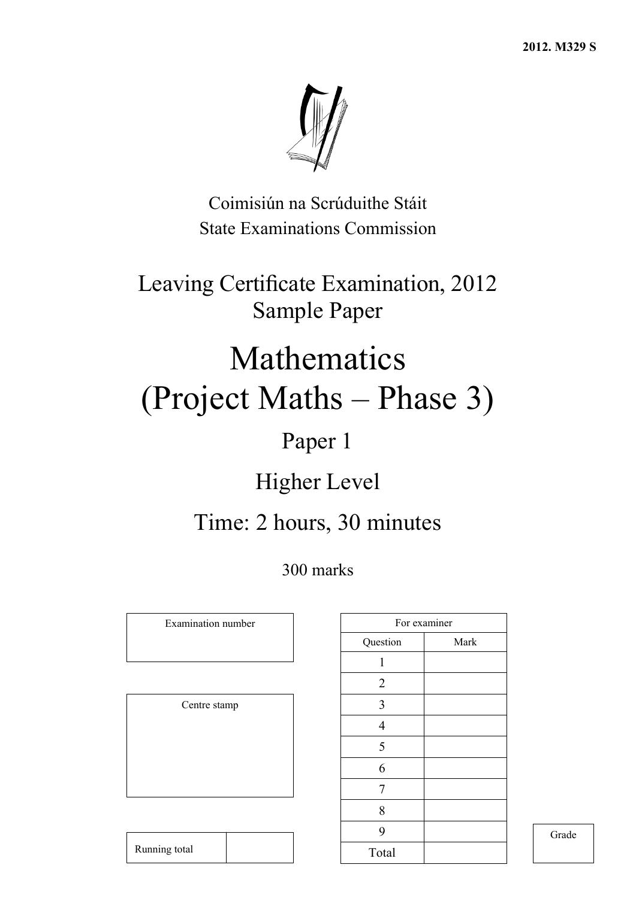

Coimisiún na Scrúduithe Stáit State Examinations Commission

Leaving Certificate Examination, 2012 Sample Paper

# Mathematics (Project Maths – Phase 3)

## Paper 1

## Higher Level

## Time: 2 hours, 30 minutes

300 marks

Examination number

Centre stamp

|                | For examiner |
|----------------|--------------|
| Question       | Mark         |
| 1              |              |
| $\overline{2}$ |              |
| 3              |              |
| $\overline{4}$ |              |
| 5              |              |
| 6              |              |
| 7              |              |
| 8              |              |
| 9              |              |
| Total          |              |

Grade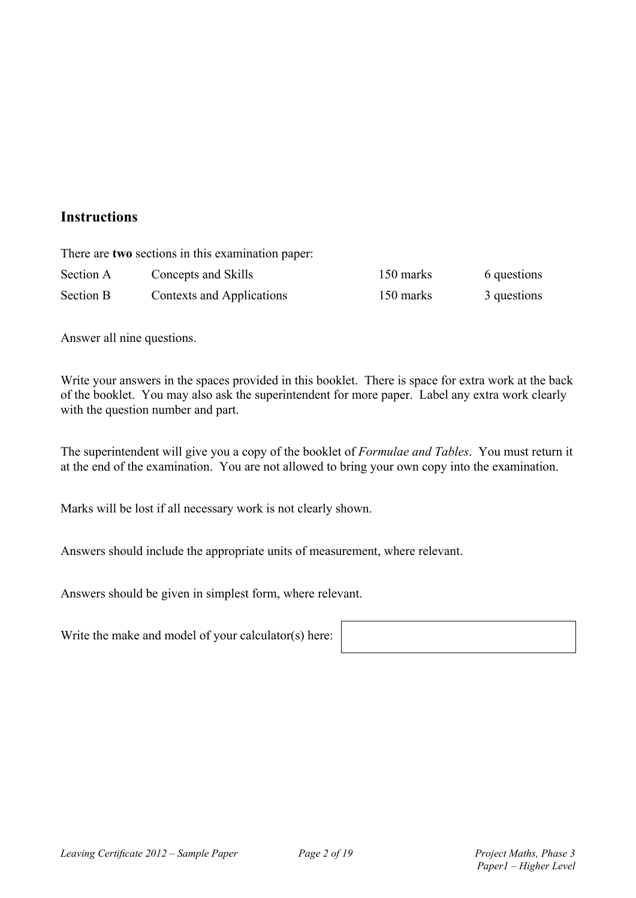#### **Instructions**

|                  | There are two sections in this examination paper: |           |             |
|------------------|---------------------------------------------------|-----------|-------------|
| Section A        | Concepts and Skills                               | 150 marks | 6 questions |
| <b>Section B</b> | Contexts and Applications                         | 150 marks | 3 questions |

Answer all nine questions.

Write your answers in the spaces provided in this booklet. There is space for extra work at the back of the booklet. You may also ask the superintendent for more paper. Label any extra work clearly with the question number and part.

The superintendent will give you a copy of the booklet of *Formulae and Tables*. You must return it at the end of the examination. You are not allowed to bring your own copy into the examination.

Marks will be lost if all necessary work is not clearly shown.

Answers should include the appropriate units of measurement, where relevant.

Answers should be given in simplest form, where relevant.

Write the make and model of your calculator(s) here: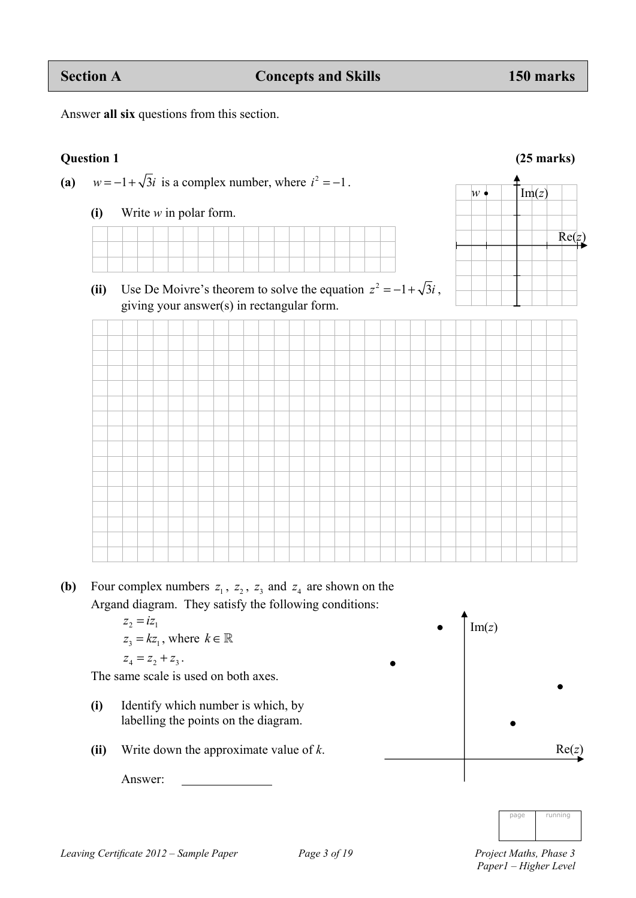Answer **all six** questions from this section.

#### **Ouestion 1** (25 marks)

(a)  $w = -1 + \sqrt{3}i$  is a complex number, where  $i^2 = -1$ .

**(i)** Write *w* in polar form.

(ii) Use De Moivre's theorem to solve the equation  $z^2 = -1 + \sqrt{3}i$ ,



**(b)** Four complex numbers  $z_1$ ,  $z_2$ ,  $z_3$  and  $z_4$  are shown on the Argand diagram. They satisfy the following conditions:

> $z_2 = iz_1$  $z_3 = kz_1$ , where  $k \in \mathbb{R}$  $z_4 = z_2 + z_3$ .

The same scale is used on both axes.

- **(i)** Identify which number is which, by labelling the points on the diagram.
- **(ii)** Write down the approximate value of *k*.

Answer:





Re(*z*)

 $w \bullet$   $\boxed{\text{Im}(z)}$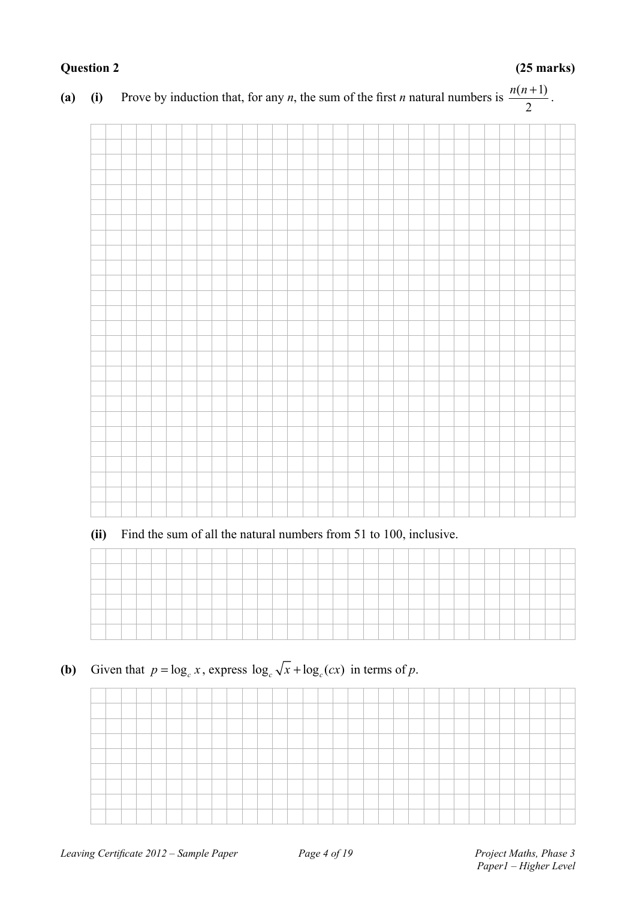### **Question 2 (25 marks)**

#### **(a) (i)** Prove by induction that, for any *n*, the sum of the first *n* natural numbers is  $\frac{n(n+1)}{2}$ 2  $\frac{n(n+1)}{2}$ .

**(ii)** Find the sum of all the natural numbers from 51 to 100, inclusive.

**(b)** Given that  $p = \log_e x$ , express  $\log_e \sqrt{x} + \log_e(cx)$  in terms of *p*.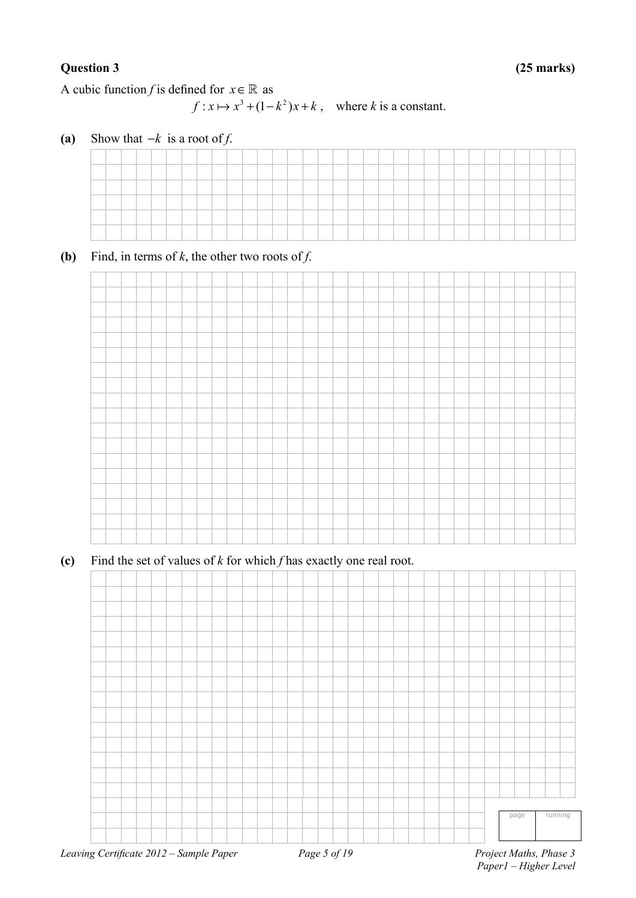A cubic function *f* is defined for  $x \in \mathbb{R}$  as

 $f: x \mapsto x^3 + (1 - k^2)x + k$ , where *k* is a constant.

**(a)** Show that  $-k$  is a root of *f*.

**(b)** Find, in terms of  $k$ , the other two roots of  $f$ .



**(c)** Find the set of values of *k* for which *f* has exactly one real root.

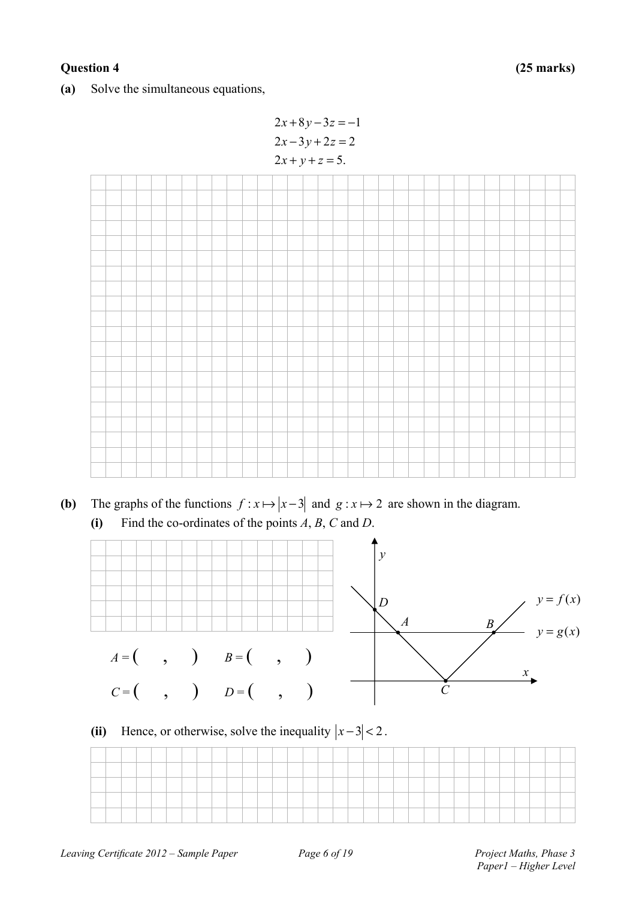#### **Question 4 (25 marks)**

**(a)** Solve the simultaneous equations,





- **(b)** The graphs of the functions  $f: x \mapsto |x-3|$  and  $g: x \mapsto 2$  are shown in the diagram.
	- **(i)** Find the co-ordinates of the points *A*, *B*, *C* and *D*.



### (ii) Hence, or otherwise, solve the inequality  $|x-3| < 2$ .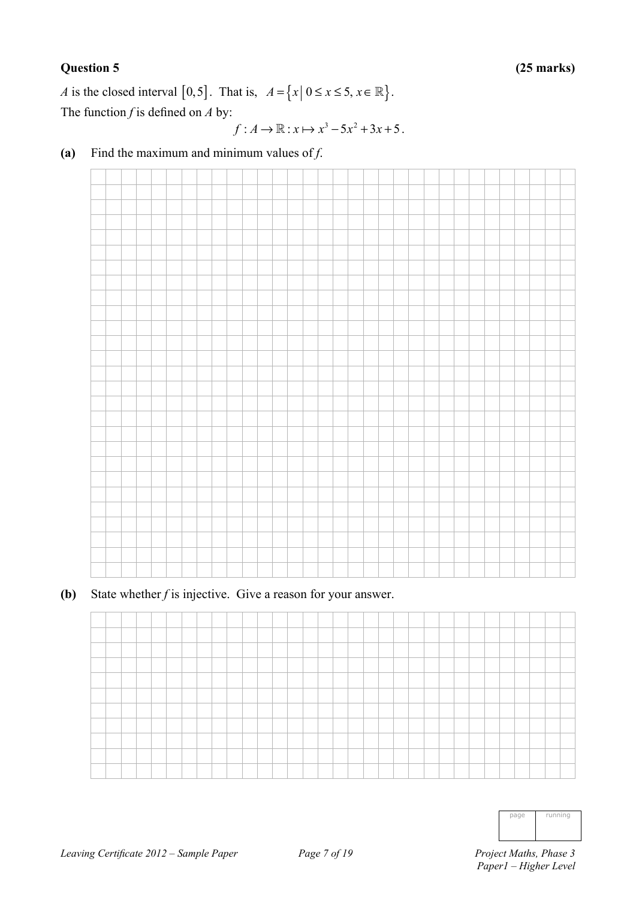#### **Question 5 (25 marks)**

*A* is the closed interval [0,5]. That is,  $A = \{x | 0 \le x \le 5, x \in \mathbb{R}\}.$ The function *f* is defined on *A* by:

$$
f: A \to \mathbb{R}: x \mapsto x^3 - 5x^2 + 3x + 5.
$$

**(a)** Find the maximum and minimum values of *f*.

**(b)** State whether *f* is injective. Give a reason for your answer.



| nage | running |
|------|---------|
|      |         |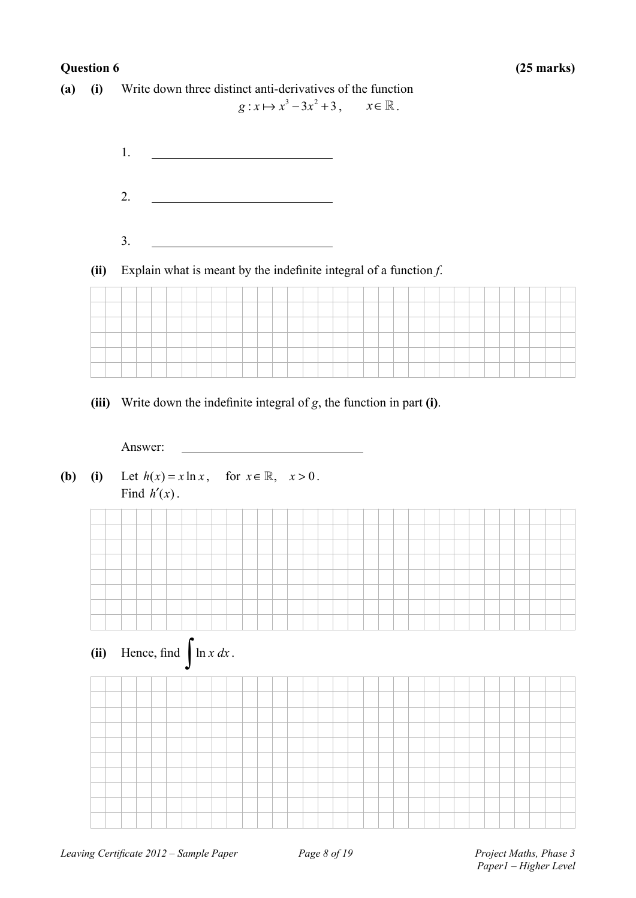#### **Question 6 (25 marks)**

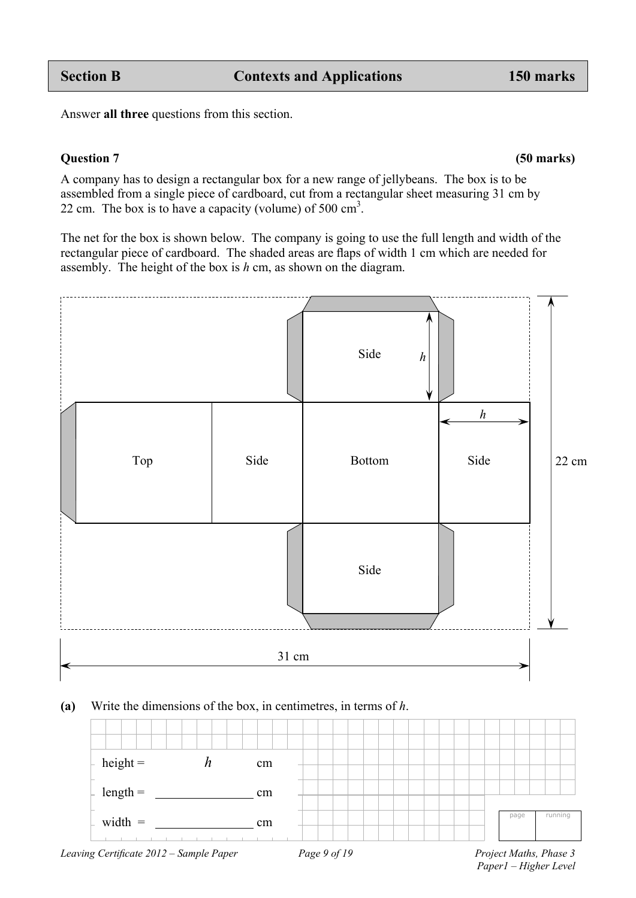Answer **all three** questions from this section.

#### **Question 7 (50 marks)**

A company has to design a rectangular box for a new range of jellybeans. The box is to be assembled from a single piece of cardboard, cut from a rectangular sheet measuring 31 cm by 22 cm. The box is to have a capacity (volume) of  $500 \text{ cm}^3$ .

The net for the box is shown below. The company is going to use the full length and width of the rectangular piece of cardboard. The shaded areas are flaps of width 1 cm which are needed for assembly. The height of the box is *h* cm, as shown on the diagram.



#### **(a)** Write the dimensions of the box, in centimetres, in terms of *h*.



 *Paper1 – Higher Level*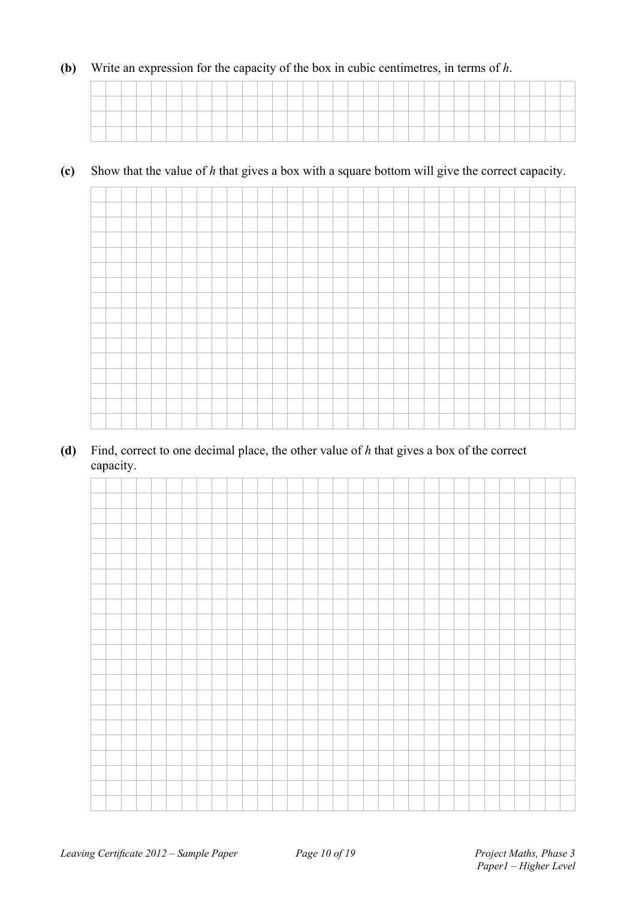#### **(b)** Write an expression for the capacity of the box in cubic centimetres, in terms of *h*.

#### **(c)** Show that the value of *h* that gives a box with a square bottom will give the correct capacity.



#### **(d)** Find, correct to one decimal place, the other value of *h* that gives a box of the correct capacity.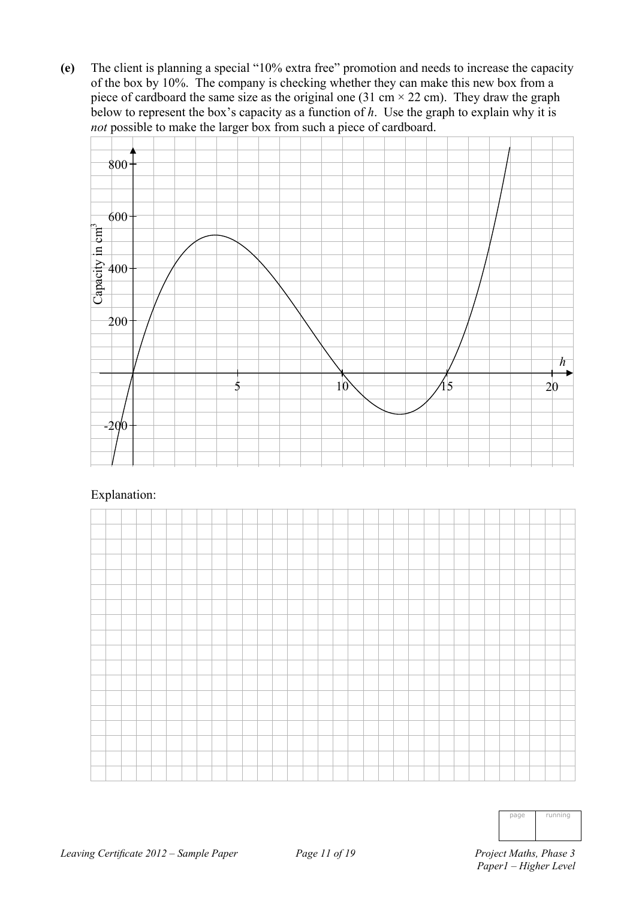**(e)** The client is planning a special "10% extra free" promotion and needs to increase the capacity of the box by 10%. The company is checking whether they can make this new box from a piece of cardboard the same size as the original one (31 cm  $\times$  22 cm). They draw the graph below to represent the box's capacity as a function of *h*. Use the graph to explain why it is *not* possible to make the larger box from such a piece of cardboard.



#### Explanation:



| running |
|---------|
|         |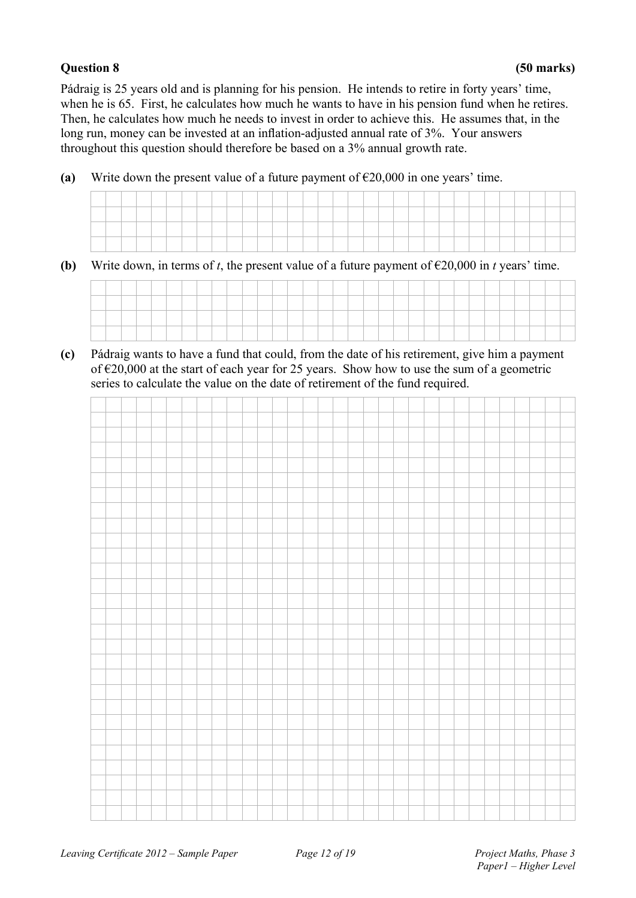#### **Question 8 (50 marks)**

Pádraig is 25 years old and is planning for his pension. He intends to retire in forty years' time, when he is 65. First, he calculates how much he wants to have in his pension fund when he retires. Then, he calculates how much he needs to invest in order to achieve this. He assumes that, in the long run, money can be invested at an inflation-adjusted annual rate of 3%. Your answers throughout this question should therefore be based on a 3% annual growth rate.

**(a)** Write down the present value of a future payment of  $\epsilon$ 20,000 in one years' time.

|  | ___ | __ | ____ | ___ | ___ | ____ | ____ | the control of the control of | ____ | ____ | ____ | ____ | the control of the control of | ____ | ____ | ____ | ___ | ___ | ____ | ____ | ___ | ___ | ___ | ____ | ___ | ___ | __ | __ |  |
|--|-----|----|------|-----|-----|------|------|-------------------------------|------|------|------|------|-------------------------------|------|------|------|-----|-----|------|------|-----|-----|-----|------|-----|-----|----|----|--|
|  |     |    |      |     |     |      |      |                               |      |      |      |      |                               |      |      |      |     |     |      |      |     |     |     |      |     |     |    |    |  |
|  |     |    |      |     |     |      |      |                               |      |      |      |      |                               |      |      |      |     |     |      |      |     |     |     |      |     |     |    |    |  |

**(b)** Write down, in terms of *t*, the present value of a future payment of  $\epsilon$ 20,000 in *t* years' time.



**(c)** Pádraig wants to have a fund that could, from the date of his retirement, give him a payment of €20,000 at the start of each year for 25 years. Show how to use the sum of a geometric series to calculate the value on the date of retirement of the fund required.

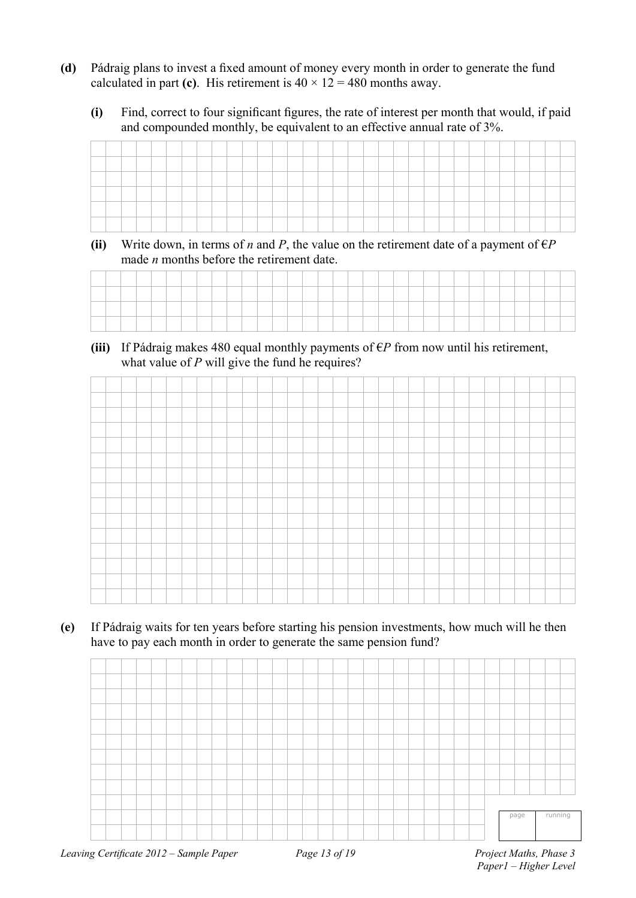- **(d)** Pádraig plans to invest a fixed amount of money every month in order to generate the fund calculated in part (c). His retirement is  $40 \times 12 = 480$  months away.
	- **(i)** Find, correct to four significant figures, the rate of interest per month that would, if paid and compounded monthly, be equivalent to an effective annual rate of 3%.

| <b>Services</b> |  |  |  |  |  |  |  |    |  |  |  |  |  |  |  |  |
|-----------------|--|--|--|--|--|--|--|----|--|--|--|--|--|--|--|--|
|                 |  |  |  |  |  |  |  | __ |  |  |  |  |  |  |  |  |
| --              |  |  |  |  |  |  |  |    |  |  |  |  |  |  |  |  |
|                 |  |  |  |  |  |  |  |    |  |  |  |  |  |  |  |  |

**(ii)** Write down, in terms of *n* and *P*, the value on the retirement date of a payment of  $\epsilon P$ made *n* months before the retirement date.

(iii) If Pádraig makes 480 equal monthly payments of  $\epsilon P$  from now until his retirement, what value of *P* will give the fund he requires?

**(e)** If Pádraig waits for ten years before starting his pension investments, how much will he then have to pay each month in order to generate the same pension fund?

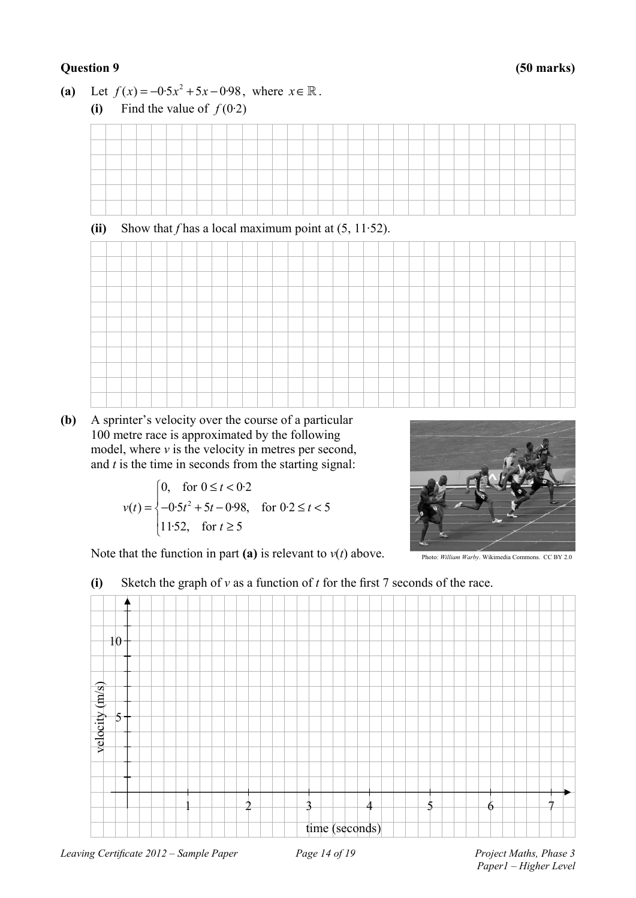#### **Question 9 (50 marks)**

**(a)** Let  $f(x) = -0.5x^2 + 5x - 0.98$ , where  $x \in \mathbb{R}$ .



**(b)** A sprinter's velocity over the course of a particular 100 metre race is approximated by the following model, where  $\nu$  is the velocity in metres per second, and *t* is the time in seconds from the starting signal:

$$
v(t) = \begin{cases} 0, & \text{for } 0 \le t < 0 \cdot 2 \\ -0.5t^2 + 5t - 0.98, & \text{for } 0 \cdot 2 \le t < 5 \\ 11.52, & \text{for } t \ge 5 \end{cases}
$$



Note that the function in part (a) is relevant to  $v(t)$  above.

### **(i)** Sketch the graph of *v* as a function of *t* for the first 7 seconds of the race.

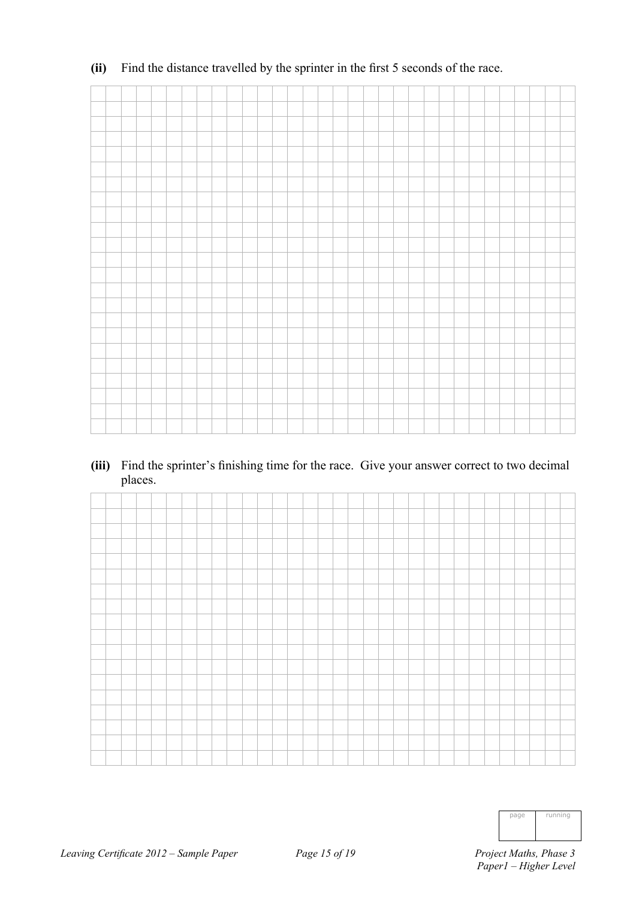#### **(ii)** Find the distance travelled by the sprinter in the first 5 seconds of the race.

**(iii)** Find the sprinter's finishing time for the race. Give your answer correct to two decimal places.

| page | running |
|------|---------|
|      |         |
|      |         |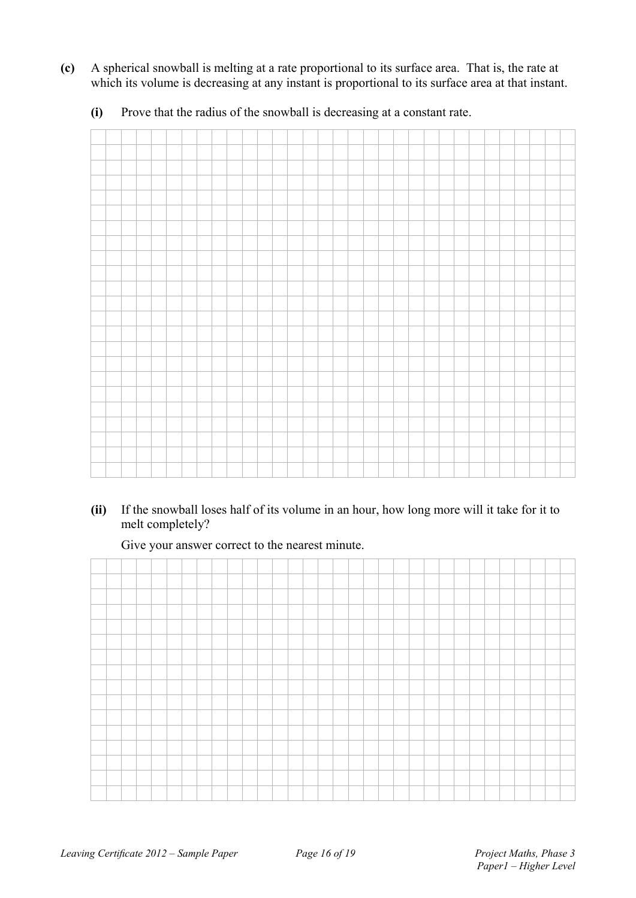**(c)** A spherical snowball is melting at a rate proportional to its surface area. That is, the rate at which its volume is decreasing at any instant is proportional to its surface area at that instant.

**(i)** Prove that the radius of the snowball is decreasing at a constant rate.

**(ii)** If the snowball loses half of its volume in an hour, how long more will it take for it to melt completely?

Give your answer correct to the nearest minute.

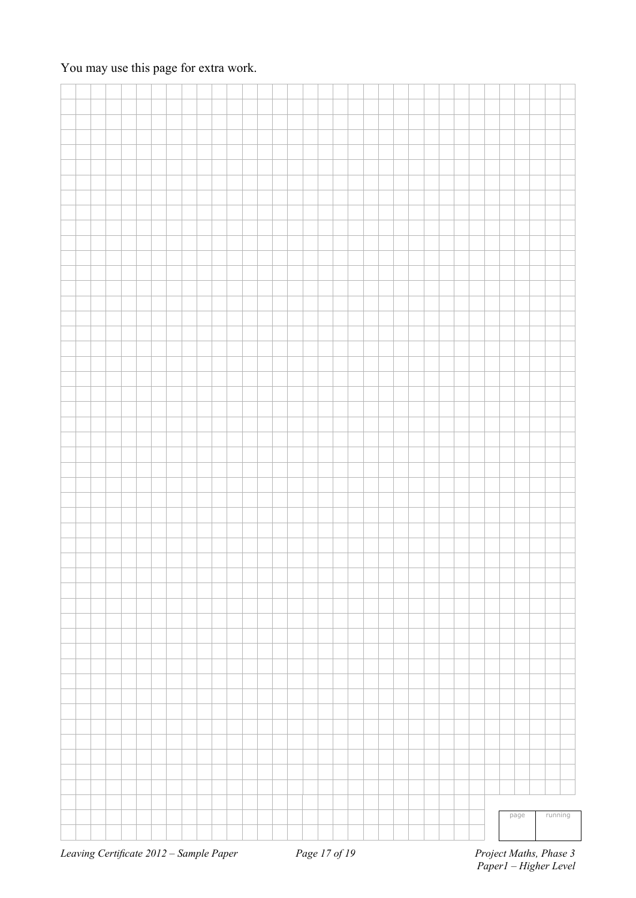### You may use this page for extra work.

|  |  |  |  |  |  |  |  |  |  |  |  |  |  |  | page | running |
|--|--|--|--|--|--|--|--|--|--|--|--|--|--|--|------|---------|
|  |  |  |  |  |  |  |  |  |  |  |  |  |  |  |      |         |
|  |  |  |  |  |  |  |  |  |  |  |  |  |  |  |      |         |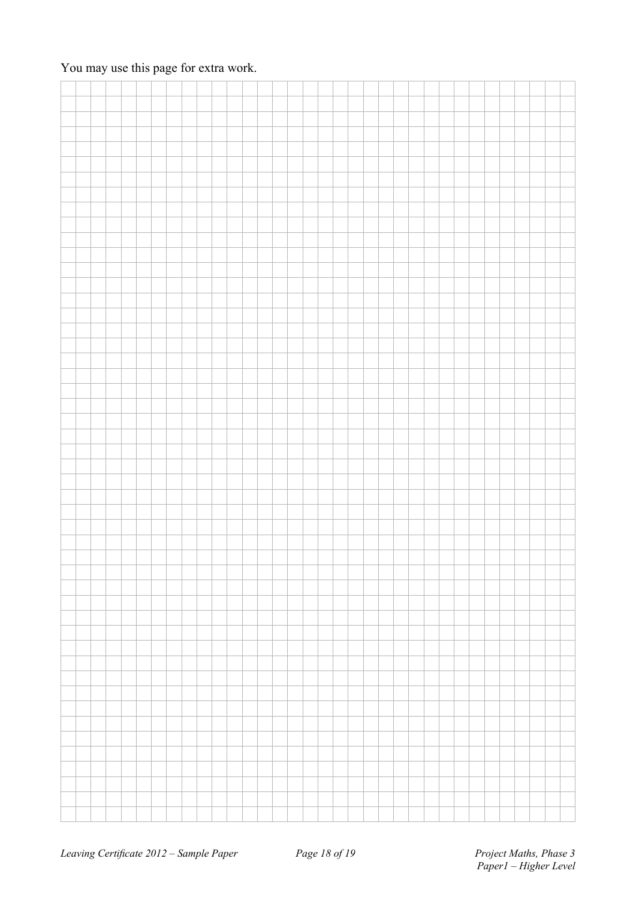### You may use this page for extra work.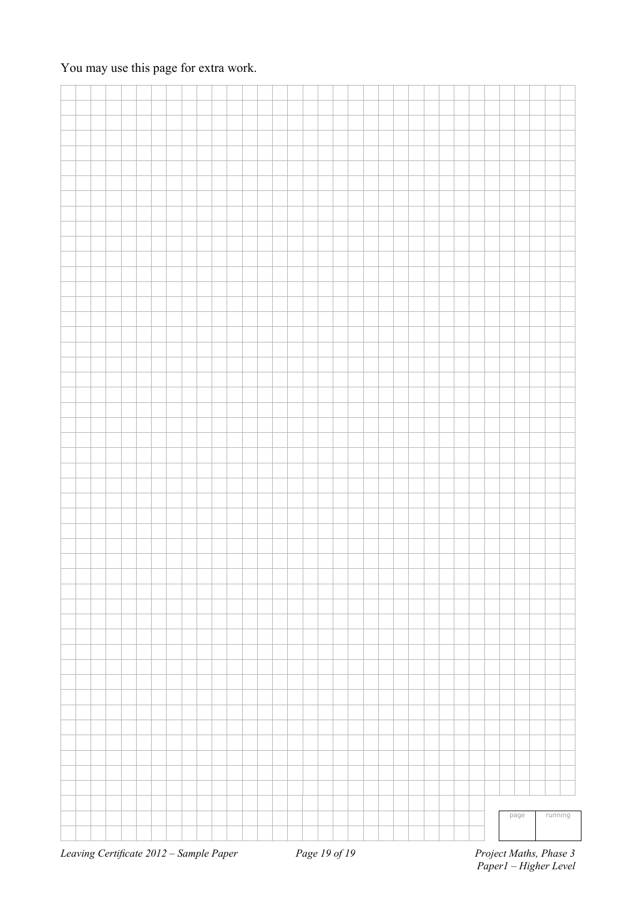### You may use this page for extra work.

|                                                        |  |  |  |  |  |  |  |  |  |  |  |  |  |  | page | running |                                     |
|--------------------------------------------------------|--|--|--|--|--|--|--|--|--|--|--|--|--|--|------|---------|-------------------------------------|
|                                                        |  |  |  |  |  |  |  |  |  |  |  |  |  |  |      |         |                                     |
|                                                        |  |  |  |  |  |  |  |  |  |  |  |  |  |  |      |         |                                     |
| $L$ ggying Contificate 2012 Sample Bancy Bagg 10 of 10 |  |  |  |  |  |  |  |  |  |  |  |  |  |  |      |         | $D_{noise}$ $M_{athe}$ $D_{base}$ 2 |

*Leaving Certificate 2012 – Sample Paper Page 19 of 19*